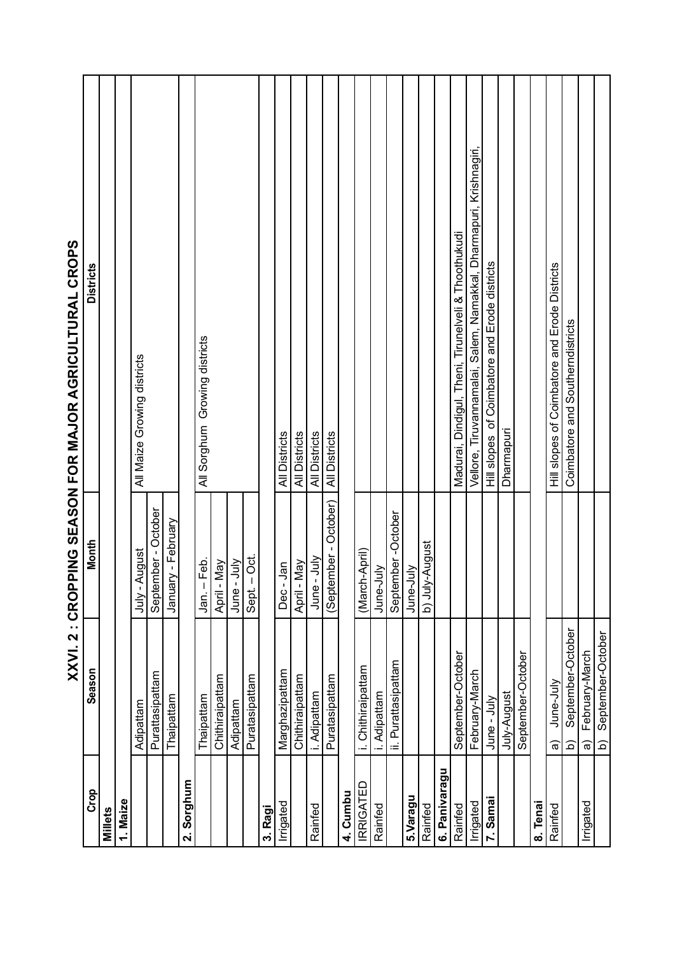|                  | $\blacktriangleleft$<br>ミンス                 | I NINSYJS りNI」<br>う<br>S<br>・ | ŋ<br><b>DAN HARDIJDJEDI RDJAN EDINA SAMA DAN JARDIJDJEDI ANDI</b>  |
|------------------|---------------------------------------------|-------------------------------|--------------------------------------------------------------------|
| Crop             | Season                                      | Month                         | <b>Districts</b>                                                   |
| Millets          |                                             |                               |                                                                    |
| 1. Maize         |                                             |                               |                                                                    |
|                  | Adipattam                                   | August<br>$ \sqrt{u}$         | All Maize Growing districts                                        |
|                  | Purattasipattam                             | September - October           |                                                                    |
|                  | Thaipattam                                  | January - February            |                                                                    |
| 2. Sorghum       |                                             |                               |                                                                    |
|                  | Thaipattam                                  | - Feb.<br>Jan.                | All Sorghum Growing districts                                      |
|                  | Chithiraipattam                             | Nay<br>April-                 |                                                                    |
|                  | Adipattam                                   | June - July                   |                                                                    |
|                  | Puratasipattam                              | - Oct.<br>Sept.               |                                                                    |
| 3. Ragi          |                                             |                               |                                                                    |
| Irrigated        | Marghazipattam                              | Jan<br>Dec-                   | All Districts                                                      |
|                  | Chithiraipattam                             | . May<br>April-               | <b>All Districts</b>                                               |
| Rainfed          | i. Adipattam                                | June - July                   | All Districts                                                      |
|                  | Puratasipattam                              | (September - October)         | All Districts                                                      |
| 4. Cumbu         |                                             |                               |                                                                    |
| <b>IRRIGATED</b> | Chithiraipattam                             | (March-April)                 |                                                                    |
| Rainfed          | i. Adipattam                                | June-July                     |                                                                    |
|                  | ii. Purattasipattam                         | September-October             |                                                                    |
| 5.Varagu         |                                             | June-July                     |                                                                    |
| Rainfed          |                                             | b) July-August                |                                                                    |
| 6. Panivaragu    |                                             |                               |                                                                    |
| Rainfed          | September-October                           |                               | Madurai, Dindigul, Theni, Tirunelveli & Thoothukudi                |
| Irrigated        | February-March                              |                               | Vellore, Tiruvannamalai, Salem, Namakkal, Dharmapuri, Krishnagiri, |
| 7. Samai         | Jur-<br>Pur-                                |                               | Hill slopes of Coimbatore and Erode districts                      |
|                  | July-August                                 |                               | Dharmapuri                                                         |
|                  | September-October                           |                               |                                                                    |
| 8. Tenai         |                                             |                               |                                                                    |
| Rainfed          | June-July<br>ଚ୍ଚ                            |                               | Hill slopes of Coimbatore and Erode Districts                      |
|                  | September-October<br><u>ଚ</u>               |                               | Coimbatore and Southerndistricts                                   |
| Irrigated        | February-March<br>$\widehat{\mathfrak{a}}$  |                               |                                                                    |
|                  | September-October<br>$\widehat{\mathsf{d}}$ |                               |                                                                    |

XXVI 2 : CROPPING SEASON FOR MA IOR AGRICHI THRAI CROPS **XXVI. 2 : CROPPING SEASON FOR MAJOR AGRICULTURAL CROPS**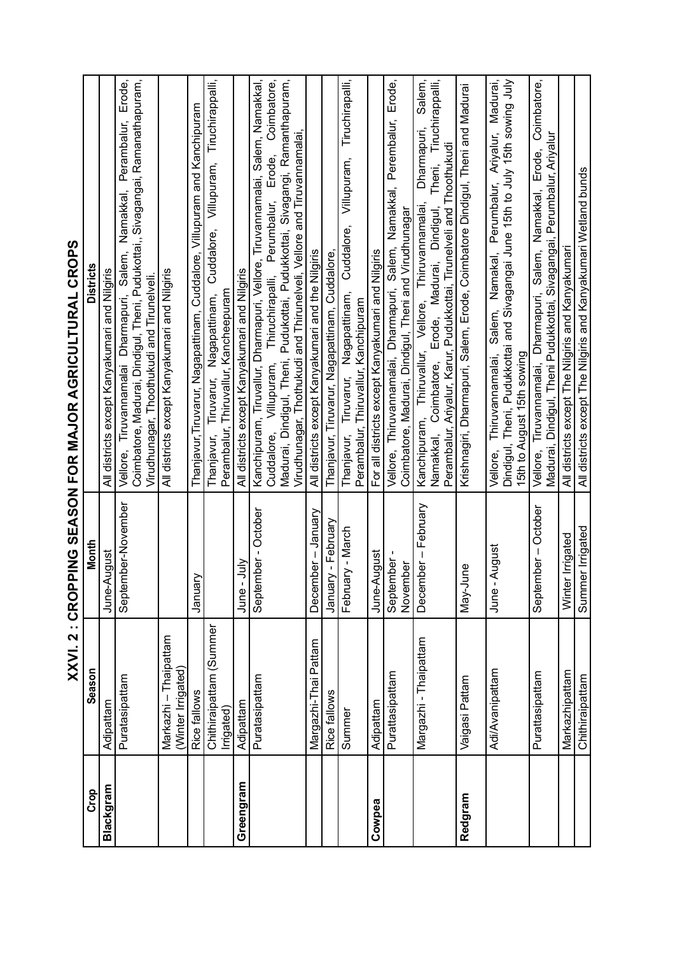| í                                                                                                                 |
|-------------------------------------------------------------------------------------------------------------------|
|                                                                                                                   |
| j                                                                                                                 |
|                                                                                                                   |
|                                                                                                                   |
|                                                                                                                   |
|                                                                                                                   |
|                                                                                                                   |
| I                                                                                                                 |
|                                                                                                                   |
|                                                                                                                   |
|                                                                                                                   |
|                                                                                                                   |
|                                                                                                                   |
|                                                                                                                   |
|                                                                                                                   |
| <b>I</b><br><b>I</b><br>I<br>I<br>I<br>I<br>I<br>I<br>I<br>I<br>I<br>I<br>I<br>I<br>I<br><br><br><br><br><br><br> |
|                                                                                                                   |
| $\frac{1}{2}$                                                                                                     |
|                                                                                                                   |
|                                                                                                                   |
|                                                                                                                   |
|                                                                                                                   |
|                                                                                                                   |
|                                                                                                                   |
|                                                                                                                   |

| Crop      | Season                                      | Month                                | <b>Districts</b>                                                                                                                                                                                                                       |
|-----------|---------------------------------------------|--------------------------------------|----------------------------------------------------------------------------------------------------------------------------------------------------------------------------------------------------------------------------------------|
| Blackgram | Adipattam                                   | August<br>June-J                     | All districts except Kanyakumari and Nilgiris                                                                                                                                                                                          |
|           | Puratasipattam                              | September-November                   | Coimbatore, Madurai, Dindigul, Theni, Pudukottai,, Sivagangai, Ramanathapuram,<br>Erode,<br>Perambalur,<br>Namakkal,<br>Salem,<br>Virudhunagar, Thoothukudi and Tirunelveli.<br>Vellore, Tiruvannamalai Dharmapuri,                    |
|           | Markazhi - Thaipattam<br>(Winter Irrigated) |                                      | All districts except Kanyakumari and Nilgiris                                                                                                                                                                                          |
|           | Rice fallows                                | January                              | Thanjavur, Tiruvarur, Nagapattinam, Cuddalore, Villupuram and Kanchipuram                                                                                                                                                              |
|           | Chithiraipattam (Summer<br>Irrigated)       |                                      | Tiruchirappalli,<br>Villupuram,<br>Cuddalore,<br>Perambalur, Thiruvallur, Kancheepuram<br>Nagapattinam,<br>Thanjavur, Tiruvarur,                                                                                                       |
| Greengram | Adipattam                                   | ミラ<br>June                           | All districts except Kanyakumari and Nilgiris                                                                                                                                                                                          |
|           | Puratasipattam                              | September - October                  | Kanchipuram, Tiruvallur, Dharmapuri, Vellore, Tiruvannamalai, Salem, Namakkal,                                                                                                                                                         |
|           |                                             |                                      | Madurai, Dindigul, Theni, Pudukottai, Pudukkottai, Sivagangi, Ramanthapuram,<br>Cuddalore, Villupuram, Thiruchirapalli, Perumbalur, Erode, Coimbatore,<br>Virudhunagar, Thothukudi and Thirunelveli, Vellore and Tiruvannamalai,       |
|           | Margazhi-Thai Pattam                        | December - January                   | All districts except Kanyakumari and the Nilgiris                                                                                                                                                                                      |
|           | Rice fallows                                | January - February                   | Thanjavur, Tiruvarur, Nagapattinam, Cuddalore,                                                                                                                                                                                         |
|           | Summe                                       | February - March                     | Tiruchirapalli,<br>Villupuram,<br>Cuddalore,<br>Thanjavur, Tiruvarur, Nagapattinam,<br>Perambalur, Thiruvallur, Kanchipuram                                                                                                            |
| Cowpea    | Adipattam                                   | June-August                          | For all districts except Kanyakumari and Nilgiris                                                                                                                                                                                      |
|           | Purattasipattam                             | September-<br>November               | Erode,<br>Namakkal, Perembalur,<br>Coimbatore, Madurai, Dindigul, Theni and Virudhunagar<br>Salem,<br>Vellore, Thiruvannamalai, Dharmapuri,                                                                                            |
|           | Margazhi - Thaipattam                       | December - February                  | Salem,<br>Theni, Tiruchirappalli,<br>Dharmapuri,<br>Perambalur, Ariyalur, Karur, Pudukkottai, Tirunelveli and Thoothukudi<br>Kanchipuram, Thiruvallur, Vellore, Thiruvannamalai,<br>Erode, Madurai, Dindigul,<br>Namakkal, Coimbatore, |
| Redgram   | Vaigasi Pattam                              | <u>une</u><br>Nay-Jı                 | Krishnagiri, Dharmapuri, Salem, Erode, Coimbatore Dindigul, Theni and Madurai                                                                                                                                                          |
|           | Adi/Avanipattam                             | June - August                        | Dindigul, Theni, Pudukkottai and Sivagangai June 15th to July 15th sowing July<br>Madurai,<br>Perumbalur, Ariyalur,<br>Namakal,<br>Salem,<br>15th to August 15th sowing<br>Thiruvannamalai,<br>Vellore,                                |
|           | Purattasipattam                             | September - October                  | Coimbatore,<br>Madurai, Dindigul, Theni Pudukkottai, Sivagangai, Perumbalur, Ariyalur<br>Erode,<br>Vellore, Tiruvannamalai, Dharmapuri, Salem, Namakkal,                                                                               |
|           | Markazhipattam<br>Chithiraipattam           | Summer Irrigated<br>Winter Irrigated | All districts except The Nilgiris and Kanyakumari Wetland bunds<br>All districts except The Nilgiris and Kanyakumari                                                                                                                   |
|           |                                             |                                      |                                                                                                                                                                                                                                        |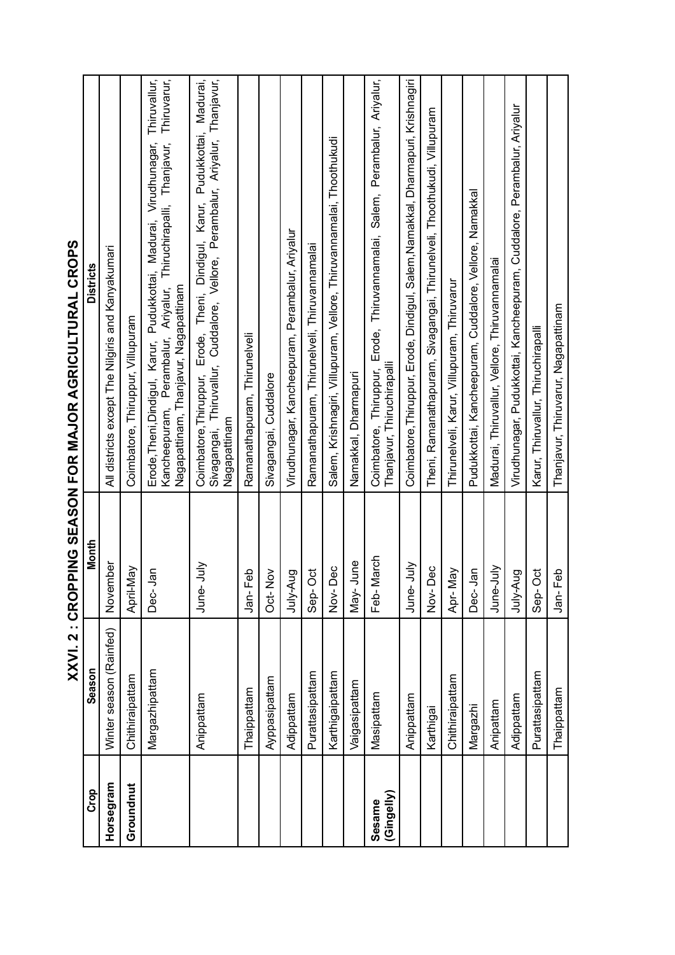|                      | XXVI. 2 : CROP          |                          | PING SEASON FOR MAJOR AGRICULTURAL CROPS                                                                                                                                                                   |
|----------------------|-------------------------|--------------------------|------------------------------------------------------------------------------------------------------------------------------------------------------------------------------------------------------------|
| Crop                 | Season                  | Month                    | <b>Districts</b>                                                                                                                                                                                           |
| Horsegram            | Winter season (Rainfed) | November                 | All districts except The Nilgiris and Kanyakumari                                                                                                                                                          |
| Groundnut            | Chithiraipattam         | Vay<br>April-M           | Coimbatore, Thiruppur, Villupuram                                                                                                                                                                          |
|                      | Margazhipattam          | <u>ရှ</u><br>Dec-        | Thiruvallur,<br>Kancheepuram, Perambalur, Ariyalur, Thiruchirapalli, Thanjavur, Thiruvarur,<br>Erode, Theni, Dindigul, Karur, Pudukkottai, Madurai, Virudhunagar,<br>Nagapattinam, Thanjavur, Nagapattinam |
|                      | Anippattam              | July<br>June-            | Coimbatore, Thiruppur, Erode, Theni, Dindigul, Karur, Pudukkottai, Madurai,<br>Sivagangai, Thiruvallur, Cuddalore, Vellore, Perambalur, Ariyalur, Thanjavur,<br>Nagapattinam                               |
|                      | Thaippattam             | Jan-Feb                  | Ramanathapuram, Thirunelveli                                                                                                                                                                               |
|                      | Ayppasipattam           | Oct-Nov                  | Sivagangai, Cuddalore                                                                                                                                                                                      |
|                      | Adippattam              | July-Aug                 | Virudhunagar, Kancheepuram, Perambalur, Ariyalur                                                                                                                                                           |
|                      | Purattasipattam         | $\overline{5}$<br>$Sep-$ | Ramanathapuram, Thirunelveli, Thiruvannamalai                                                                                                                                                              |
|                      | Karthigaipattam         | Dec<br>$Nov-1$           | Salem, Krishnagiri, Villupuram, Vellore, Thiruvannamalai, Thoothukudi                                                                                                                                      |
|                      | Vaigasipattam           | June<br>$Max-$           | Namakkal, Dharmapuri                                                                                                                                                                                       |
| (Gingelly)<br>Sesame | Masipattam              | March<br>Feb-            | Coimbatore, Thiruppur, Erode, Thiruvannamalai, Salem, Perambalur, Ariyalur,<br>Thanjavur, Thiruchirapalli                                                                                                  |
|                      | Anippattam              | <b>Slut</b><br>June-     | Coimbatore, Thiruppur, Erode, Dindigul, Salem, Namakkal, Dharmapuri, Krishnagiri                                                                                                                           |
|                      | Karthigai               | Dec<br>Nov-              | Theni, Ramanathapuram, Sivagangai, Thirunelveli, Thoothukudi, Villupuram                                                                                                                                   |
|                      | Chithiraipattam         | Apr-May                  | Thirunelveli, Karur, Villupuram, Thiruvarur                                                                                                                                                                |
|                      | Margazhi                | <b>Jan</b><br>Dec-       | Pudukkottai, Kancheepuram, Cuddalore, Vellore, Namakkal                                                                                                                                                    |
|                      | Anipattam               | Š<br>June-               | Madurai, Thiruvallur, Vellore, Thiruvannamalai                                                                                                                                                             |
|                      | Adippattam              | July-Aug                 | Virudhunagar, Pudukkottai, Kancheepuram, Cuddalore, Perambalur, Ariyalur                                                                                                                                   |
|                      | Purattasipattam         | ö<br>Sep-                | Karur, Thiruvallur, Thiruchirapalli                                                                                                                                                                        |
|                      | Thaippattam             | Jan-Feb                  | Thanjavur, Thiruvarur, Nagapattinam                                                                                                                                                                        |